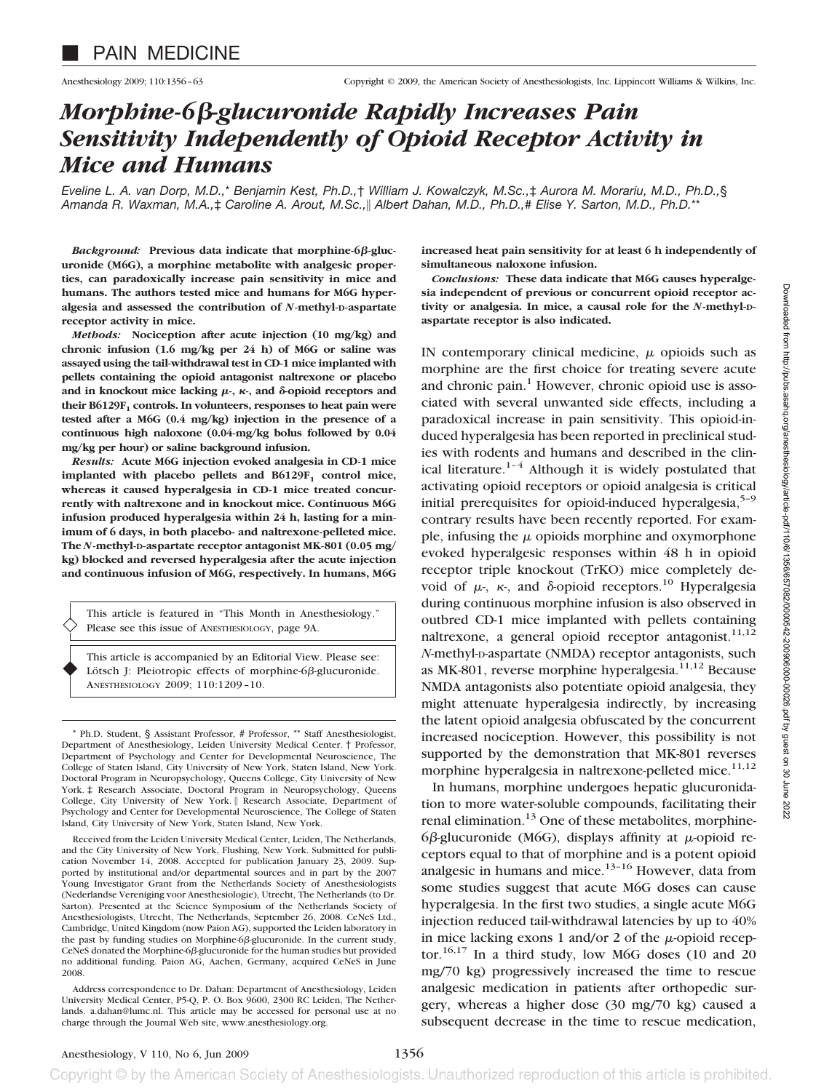# *Morphine-6-glucuronide Rapidly Increases Pain Sensitivity Independently of Opioid Receptor Activity in Mice and Humans*

*Eveline L. A. van Dorp, M.D.,*\* *Benjamin Kest, Ph.D.,*† *William J. Kowalczyk, M.Sc.,*‡ *Aurora M. Morariu, M.D., Ph.D.,*§ *Amanda R. Waxman, M.A.,*‡ *Caroline A. Arout, M.Sc.,*- *Albert Dahan, M.D., Ph.D.,*# *Elise Y. Sarton, M.D., Ph.D.*\*\*

Background: Previous data indicate that morphine-6β-gluc**uronide (M6G), a morphine metabolite with analgesic properties, can paradoxically increase pain sensitivity in mice and humans. The authors tested mice and humans for M6G hyperalgesia and assessed the contribution of** *N***-methyl-D-aspartate receptor activity in mice.**

*Methods:* **Nociception after acute injection (10 mg/kg) and chronic infusion (1.6 mg/kg per 24 h) of M6G or saline was assayed using the tail-withdrawal test in CD-1 mice implanted with pellets containing the opioid antagonist naltrexone or placebo** and in knockout mice lacking  $\mu$ -,  $\kappa$ -, and  $\delta$ -opioid receptors and their B6129F<sub>1</sub> controls. In volunteers, responses to heat pain were **tested after a M6G (0.4 mg/kg) injection in the presence of a continuous high naloxone (0.04-mg/kg bolus followed by 0.04 mg/kg per hour) or saline background infusion.**

*Results:* **Acute M6G injection evoked analgesia in CD-1 mice** implanted with placebo pellets and B6129F<sub>1</sub> control mice, **whereas it caused hyperalgesia in CD-1 mice treated concurrently with naltrexone and in knockout mice. Continuous M6G infusion produced hyperalgesia within 24 h, lasting for a minimum of 6 days, in both placebo- and naltrexone-pelleted mice. The** *N***-methyl-D-aspartate receptor antagonist MK-801 (0.05 mg/ kg) blocked and reversed hyperalgesia after the acute injection and continuous infusion of M6G, respectively. In humans, M6G**

This article is featured in "This Month in Anesthesiology." Please see this issue of ANESTHESIOLOGY, page 9A.

This article is accompanied by an Editorial View. Please see: Lötsch J: Pleiotropic effects of morphine-6 $\beta$ -glucuronide. ANESTHESIOLOGY 2009; 110:1209–10.

\* Ph.D. Student, § Assistant Professor, # Professor, \*\* Staff Anesthesiologist, Department of Anesthesiology, Leiden University Medical Center. † Professor, Department of Psychology and Center for Developmental Neuroscience, The College of Staten Island, City University of New York, Staten Island, New York. Doctoral Program in Neuropsychology, Queens College, City University of New York. ‡ Research Associate, Doctoral Program in Neuropsychology, Queens College, City University of New York. | Research Associate, Department of Psychology and Center for Developmental Neuroscience, The College of Staten Island, City University of New York, Staten Island, New York.

Received from the Leiden University Medical Center, Leiden, The Netherlands, and the City University of New York, Flushing, New York. Submitted for publication November 14, 2008. Accepted for publication January 23, 2009. Supported by institutional and/or departmental sources and in part by the 2007 Young Investigator Grant from the Netherlands Society of Anesthesiologists (Nederlandse Vereniging voor Anesthesiologie), Utrecht, The Netherlands (to Dr. Sarton). Presented at the Science Symposium of the Netherlands Society of Anesthesiologists, Utrecht, The Netherlands, September 26, 2008. CeNeS Ltd., Cambridge, United Kingdom (now Paion AG), supported the Leiden laboratory in the past by funding studies on Morphine- $6\beta$ -glucuronide. In the current study, CeNeS donated the Morphine-6 $\beta$ -glucuronide for the human studies but provided no additional funding. Paion AG, Aachen, Germany, acquired CeNeS in June 2008.

Address correspondence to Dr. Dahan: Department of Anesthesiology, Leiden University Medical Center, P5-Q, P. O. Box 9600, 2300 RC Leiden, The Netherlands. a.dahan@lumc.nl. This article may be accessed for personal use at no charge through the Journal Web site, www.anesthesiology.org.

**increased heat pain sensitivity for at least 6 h independently of simultaneous naloxone infusion.**

*Conclusions:* **These data indicate that M6G causes hyperalgesia independent of previous or concurrent opioid receptor activity or analgesia. In mice, a causal role for the** *N***-methyl-Daspartate receptor is also indicated.**

IN contemporary clinical medicine,  $\mu$  opioids such as morphine are the first choice for treating severe acute and chronic pain. $<sup>1</sup>$  However, chronic opioid use is asso-</sup> ciated with several unwanted side effects, including a paradoxical increase in pain sensitivity. This opioid-induced hyperalgesia has been reported in preclinical studies with rodents and humans and described in the clinical literature. $1-4$  Although it is widely postulated that activating opioid receptors or opioid analgesia is critical initial prerequisites for opioid-induced hyperalgesia, $5-9$ contrary results have been recently reported. For example, infusing the  $\mu$  opioids morphine and oxymorphone evoked hyperalgesic responses within 48 h in opioid receptor triple knockout (TrKO) mice completely devoid of  $\mu$ ,  $\kappa$ , and  $\delta$ -opioid receptors.<sup>10</sup> Hyperalgesia during continuous morphine infusion is also observed in outbred CD-1 mice implanted with pellets containing naltrexone, a general opioid receptor antagonist.<sup>11,12</sup> *N*-methyl-D-aspartate (NMDA) receptor antagonists, such as MK-801, reverse morphine hyperalgesia. $11,12$  Because NMDA antagonists also potentiate opioid analgesia, they might attenuate hyperalgesia indirectly, by increasing the latent opioid analgesia obfuscated by the concurrent increased nociception. However, this possibility is not supported by the demonstration that MK-801 reverses morphine hyperalgesia in naltrexone-pelleted mice.<sup>11,12</sup>

In humans, morphine undergoes hepatic glucuronidation to more water-soluble compounds, facilitating their renal elimination.<sup>13</sup> One of these metabolites, morphine-6 $\beta$ -glucuronide (M6G), displays affinity at  $\mu$ -opioid receptors equal to that of morphine and is a potent opioid analgesic in humans and mice.<sup>13–16</sup> However, data from some studies suggest that acute M6G doses can cause hyperalgesia. In the first two studies, a single acute M6G injection reduced tail-withdrawal latencies by up to 40% in mice lacking exons 1 and/or 2 of the  $\mu$ -opioid receptor.<sup>16,17</sup> In a third study, low M6G doses (10 and 20) mg/70 kg) progressively increased the time to rescue analgesic medication in patients after orthopedic surgery, whereas a higher dose (30 mg/70 kg) caused a subsequent decrease in the time to rescue medication,

 $\blacklozenge$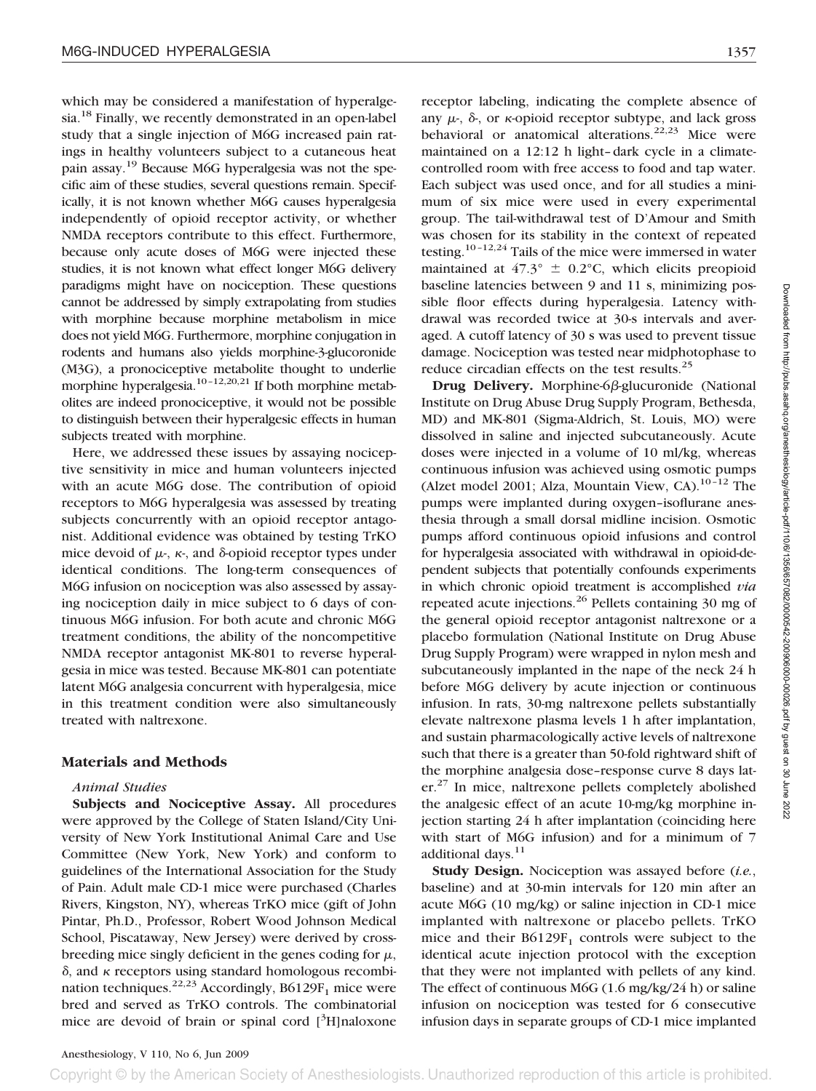which may be considered a manifestation of hyperalgesia.<sup>18</sup> Finally, we recently demonstrated in an open-label study that a single injection of M6G increased pain ratings in healthy volunteers subject to a cutaneous heat pain assay.19 Because M6G hyperalgesia was not the specific aim of these studies, several questions remain. Specifically, it is not known whether M6G causes hyperalgesia independently of opioid receptor activity, or whether NMDA receptors contribute to this effect. Furthermore, because only acute doses of M6G were injected these studies, it is not known what effect longer M6G delivery paradigms might have on nociception. These questions cannot be addressed by simply extrapolating from studies with morphine because morphine metabolism in mice does not yield M6G. Furthermore, morphine conjugation in rodents and humans also yields morphine-3-glucoronide (M3G), a pronociceptive metabolite thought to underlie morphine hyperalgesia.<sup>10-12,20,21</sup> If both morphine metabolites are indeed pronociceptive, it would not be possible to distinguish between their hyperalgesic effects in human subjects treated with morphine.

Here, we addressed these issues by assaying nociceptive sensitivity in mice and human volunteers injected with an acute M6G dose. The contribution of opioid receptors to M6G hyperalgesia was assessed by treating subjects concurrently with an opioid receptor antagonist. Additional evidence was obtained by testing TrKO mice devoid of  $\mu$ -,  $\kappa$ -, and  $\delta$ -opioid receptor types under identical conditions. The long-term consequences of M6G infusion on nociception was also assessed by assaying nociception daily in mice subject to 6 days of continuous M6G infusion. For both acute and chronic M6G treatment conditions, the ability of the noncompetitive NMDA receptor antagonist MK-801 to reverse hyperalgesia in mice was tested. Because MK-801 can potentiate latent M6G analgesia concurrent with hyperalgesia, mice in this treatment condition were also simultaneously treated with naltrexone.

# **Materials and Methods**

## *Animal Studies*

**Subjects and Nociceptive Assay.** All procedures were approved by the College of Staten Island/City University of New York Institutional Animal Care and Use Committee (New York, New York) and conform to guidelines of the International Association for the Study of Pain. Adult male CD-1 mice were purchased (Charles Rivers, Kingston, NY), whereas TrKO mice (gift of John Pintar, Ph.D., Professor, Robert Wood Johnson Medical School, Piscataway, New Jersey) were derived by crossbreeding mice singly deficient in the genes coding for  $\mu$ ,  $\delta$ , and  $\kappa$  receptors using standard homologous recombination techniques.<sup>22,23</sup> Accordingly, B6129F<sub>1</sub> mice were bred and served as TrKO controls. The combinatorial mice are devoid of brain or spinal cord [3H]naloxone

receptor labeling, indicating the complete absence of any  $\mu$ -,  $\delta$ -, or  $\kappa$ -opioid receptor subtype, and lack gross behavioral or anatomical alterations. $22,23$  Mice were maintained on a 12:12 h light–dark cycle in a climatecontrolled room with free access to food and tap water. Each subject was used once, and for all studies a minimum of six mice were used in every experimental group. The tail-withdrawal test of D'Amour and Smith was chosen for its stability in the context of repeated testing.<sup>10-12,24</sup> Tails of the mice were immersed in water maintained at  $47.3^{\circ} \pm 0.2^{\circ}$ C, which elicits preopioid baseline latencies between 9 and 11 s, minimizing possible floor effects during hyperalgesia. Latency withdrawal was recorded twice at 30-s intervals and averaged. A cutoff latency of 30 s was used to prevent tissue damage. Nociception was tested near midphotophase to reduce circadian effects on the test results.<sup>25</sup>

**Drug Delivery.** Morphine-6ß-glucuronide (National Institute on Drug Abuse Drug Supply Program, Bethesda, MD) and MK-801 (Sigma-Aldrich, St. Louis, MO) were dissolved in saline and injected subcutaneously. Acute doses were injected in a volume of 10 ml/kg, whereas continuous infusion was achieved using osmotic pumps (Alzet model 2001; Alza, Mountain View, CA). $10-12$  The pumps were implanted during oxygen–isoflurane anesthesia through a small dorsal midline incision. Osmotic pumps afford continuous opioid infusions and control for hyperalgesia associated with withdrawal in opioid-dependent subjects that potentially confounds experiments in which chronic opioid treatment is accomplished *via* repeated acute injections.<sup>26</sup> Pellets containing 30 mg of the general opioid receptor antagonist naltrexone or a placebo formulation (National Institute on Drug Abuse Drug Supply Program) were wrapped in nylon mesh and subcutaneously implanted in the nape of the neck 24 h before M6G delivery by acute injection or continuous infusion. In rats, 30-mg naltrexone pellets substantially elevate naltrexone plasma levels 1 h after implantation, and sustain pharmacologically active levels of naltrexone such that there is a greater than 50-fold rightward shift of the morphine analgesia dose–response curve 8 days later.27 In mice, naltrexone pellets completely abolished the analgesic effect of an acute 10-mg/kg morphine injection starting 24 h after implantation (coinciding here with start of M6G infusion) and for a minimum of 7 additional days.<sup>11</sup>

**Study Design.** Nociception was assayed before (*i.e.*, baseline) and at 30-min intervals for 120 min after an acute M6G (10 mg/kg) or saline injection in CD-1 mice implanted with naltrexone or placebo pellets. TrKO mice and their  $B6129F_1$  controls were subject to the identical acute injection protocol with the exception that they were not implanted with pellets of any kind. The effect of continuous M6G (1.6 mg/kg/24 h) or saline infusion on nociception was tested for 6 consecutive infusion days in separate groups of CD-1 mice implanted

Anesthesiology, V 110, No 6, Jun 2009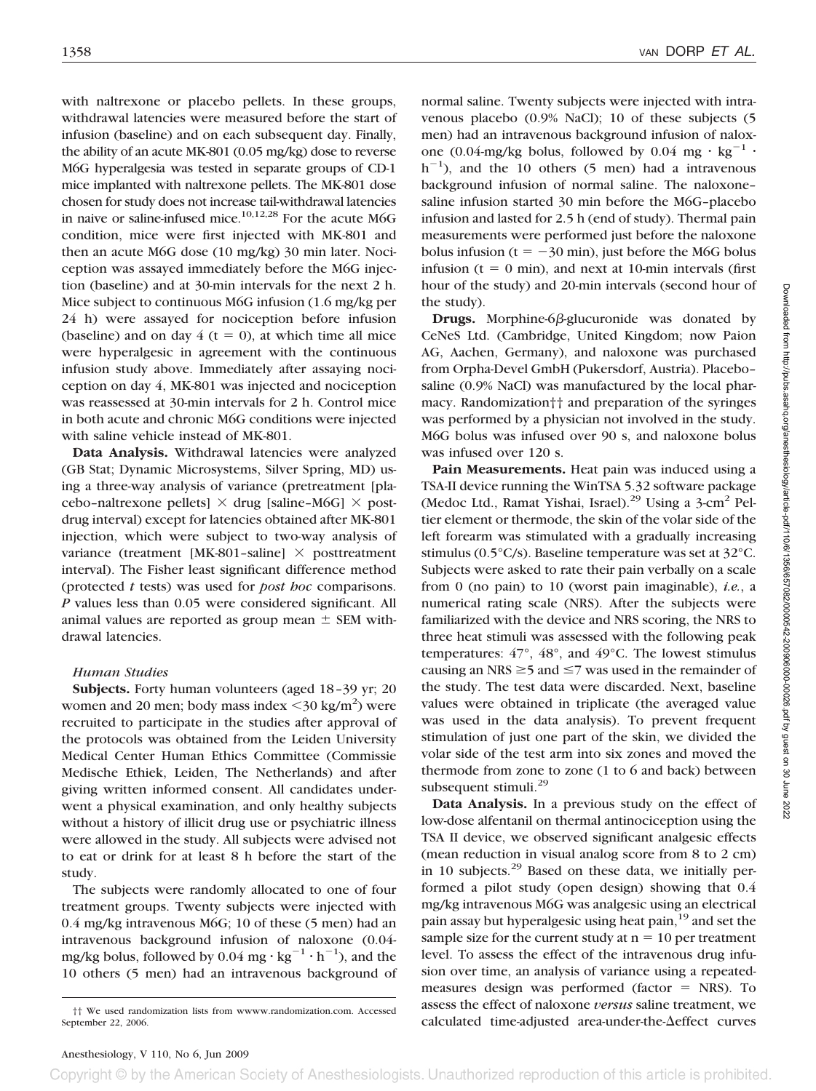with naltrexone or placebo pellets. In these groups, withdrawal latencies were measured before the start of infusion (baseline) and on each subsequent day. Finally, the ability of an acute MK-801 (0.05 mg/kg) dose to reverse M6G hyperalgesia was tested in separate groups of CD-1 mice implanted with naltrexone pellets. The MK-801 dose chosen for study does not increase tail-withdrawal latencies in naive or saline-infused mice.<sup>10,12,28</sup> For the acute M6G condition, mice were first injected with MK-801 and then an acute M6G dose (10 mg/kg) 30 min later. Nociception was assayed immediately before the M6G injection (baseline) and at 30-min intervals for the next 2 h. Mice subject to continuous M6G infusion (1.6 mg/kg per 24 h) were assayed for nociception before infusion (baseline) and on day  $4$  (t = 0), at which time all mice were hyperalgesic in agreement with the continuous infusion study above. Immediately after assaying nociception on day 4, MK-801 was injected and nociception was reassessed at 30-min intervals for 2 h. Control mice in both acute and chronic M6G conditions were injected with saline vehicle instead of MK-801.

Data Analysis. Withdrawal latencies were analyzed (GB Stat; Dynamic Microsystems, Silver Spring, MD) using a three-way analysis of variance (pretreatment [placebo-naltrexone pellets]  $\times$  drug [saline–M6G]  $\times$  postdrug interval) except for latencies obtained after MK-801 injection, which were subject to two-way analysis of variance (treatment [MK-801-saline]  $\times$  posttreatment interval). The Fisher least significant difference method (protected *t* tests) was used for *post hoc* comparisons. *P* values less than 0.05 were considered significant. All animal values are reported as group mean  $\pm$  SEM withdrawal latencies.

#### *Human Studies*

**Subjects.** Forty human volunteers (aged 18–39 yr; 20 women and 20 men; body mass index  $\leq$ 30 kg/m<sup>2</sup>) were recruited to participate in the studies after approval of the protocols was obtained from the Leiden University Medical Center Human Ethics Committee (Commissie Medische Ethiek, Leiden, The Netherlands) and after giving written informed consent. All candidates underwent a physical examination, and only healthy subjects without a history of illicit drug use or psychiatric illness were allowed in the study. All subjects were advised not to eat or drink for at least 8 h before the start of the study.

The subjects were randomly allocated to one of four treatment groups. Twenty subjects were injected with 0.4 mg/kg intravenous M6G; 10 of these (5 men) had an intravenous background infusion of naloxone (0.04 mg/kg bolus, followed by  $0.04$  mg  $\cdot$  kg<sup>-1</sup>  $\cdot$  h<sup>-1</sup>), and the 10 others (5 men) had an intravenous background of normal saline. Twenty subjects were injected with intravenous placebo (0.9% NaCl); 10 of these subjects (5 men) had an intravenous background infusion of naloxone (0.04-mg/kg bolus, followed by 0.04 mg  $\cdot$  kg<sup>-1</sup>  $\cdot$  $h^{-1}$ ), and the 10 others (5 men) had a intravenous background infusion of normal saline. The naloxone– saline infusion started 30 min before the M6G–placebo infusion and lasted for 2.5 h (end of study). Thermal pain measurements were performed just before the naloxone bolus infusion ( $t = -30$  min), just before the M6G bolus infusion  $(t = 0 \text{ min})$ , and next at 10-min intervals (first hour of the study) and 20-min intervals (second hour of the study).

**Drugs.** Morphine-6 $\beta$ -glucuronide was donated by CeNeS Ltd. (Cambridge, United Kingdom; now Paion AG, Aachen, Germany), and naloxone was purchased from Orpha-Devel GmbH (Pukersdorf, Austria). Placebo– saline (0.9% NaCl) was manufactured by the local pharmacy. Randomization†† and preparation of the syringes was performed by a physician not involved in the study. M6G bolus was infused over 90 s, and naloxone bolus was infused over 120 s.

**Pain Measurements.** Heat pain was induced using a TSA-II device running the WinTSA 5.32 software package (Medoc Ltd., Ramat Yishai, Israel).<sup>29</sup> Using a 3-cm<sup>2</sup> Peltier element or thermode, the skin of the volar side of the left forearm was stimulated with a gradually increasing stimulus (0.5°C/s). Baseline temperature was set at 32°C. Subjects were asked to rate their pain verbally on a scale from 0 (no pain) to 10 (worst pain imaginable), *i.e.*, a numerical rating scale (NRS). After the subjects were familiarized with the device and NRS scoring, the NRS to three heat stimuli was assessed with the following peak temperatures: 47°, 48°, and 49°C. The lowest stimulus causing an NRS  $\geq$  5 and  $\leq$  7 was used in the remainder of the study. The test data were discarded. Next, baseline values were obtained in triplicate (the averaged value was used in the data analysis). To prevent frequent stimulation of just one part of the skin, we divided the volar side of the test arm into six zones and moved the thermode from zone to zone (1 to 6 and back) between subsequent stimuli.<sup>29</sup>

**Data Analysis.** In a previous study on the effect of low-dose alfentanil on thermal antinociception using the TSA II device, we observed significant analgesic effects (mean reduction in visual analog score from 8 to 2 cm) in 10 subjects. $29$  Based on these data, we initially performed a pilot study (open design) showing that 0.4 mg/kg intravenous M6G was analgesic using an electrical pain assay but hyperalgesic using heat pain,<sup>19</sup> and set the sample size for the current study at  $n = 10$  per treatment level. To assess the effect of the intravenous drug infusion over time, an analysis of variance using a repeatedmeasures design was performed (factor  $=$  NRS). To assess the effect of naloxone *versus* saline treatment, we calculated time-adjusted area-under-the- $\Delta$ effect curves

<sup>††</sup> We used randomization lists from wwww.randomization.com. Accessed September 22, 2006.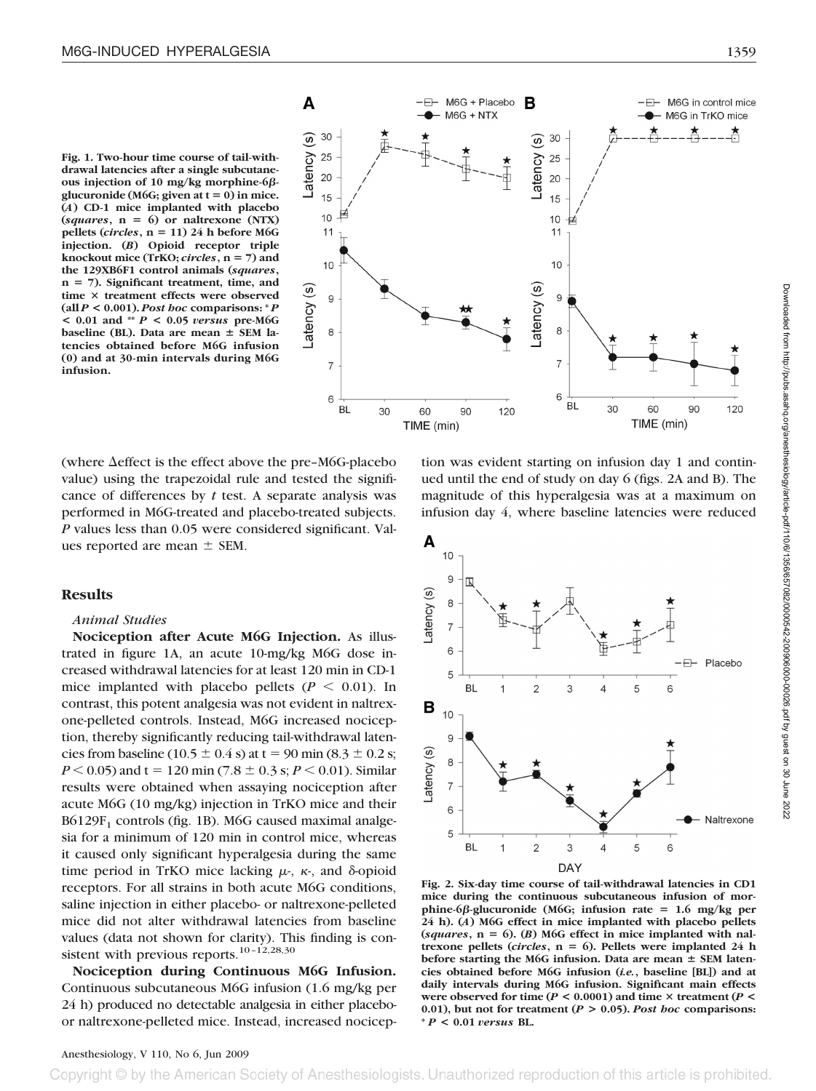**Fig. 1. Two-hour time course of tail-withdrawal latencies after a single subcutaneous injection of 10 mg/kg morphine-6** glucuronide (M6G; given at  $t = 0$ ) in mice. **(***A***) CD-1 mice implanted with placebo**  $(squares, n = 6)$  or naltrexone  $(NTX)$ pellets (*circles*,  $n = 11$ ) 24 h before M6G **injection. (***B***) Opioid receptor triple knockout mice (TrKO;** *circles***, n 7) and the 129XB6F1 control animals (***squares***, n 7). Significant treatment, time, and time treatment effects were observed (all** *P* **< 0.001).** *Post hoc* **comparisons: \*** *P* **< 0.01 and \*\*** *P* **< 0.05** *versus* **pre-M6G baseline (BL). Data are mean SEM latencies obtained before M6G infusion (0) and at 30-min intervals during M6G infusion.**



(where  $\Delta$ effect is the effect above the pre-M6G-placebo value) using the trapezoidal rule and tested the significance of differences by *t* test. A separate analysis was performed in M6G-treated and placebo-treated subjects. *P* values less than 0.05 were considered significant. Values reported are mean  $\pm$  SEM.

#### **Results**

#### *Animal Studies*

**Nociception after Acute M6G Injection.** As illustrated in figure 1A, an acute 10-mg/kg M6G dose increased withdrawal latencies for at least 120 min in CD-1 mice implanted with placebo pellets  $(P \leq 0.01)$ . In contrast, this potent analgesia was not evident in naltrexone-pelleted controls. Instead, M6G increased nociception, thereby significantly reducing tail-withdrawal latencies from baseline (10.5  $\pm$  0.4 s) at t = 90 min (8.3  $\pm$  0.2 s;  $P < 0.05$ ) and t = 120 min (7.8  $\pm$  0.3 s;  $P < 0.01$ ). Similar results were obtained when assaying nociception after acute M6G (10 mg/kg) injection in TrKO mice and their  $B6129F<sub>1</sub>$  controls (fig. 1B). M6G caused maximal analgesia for a minimum of 120 min in control mice, whereas it caused only significant hyperalgesia during the same time period in TrKO mice lacking  $\mu$ -,  $\kappa$ -, and  $\delta$ -opioid receptors. For all strains in both acute M6G conditions, saline injection in either placebo- or naltrexone-pelleted mice did not alter withdrawal latencies from baseline values (data not shown for clarity). This finding is consistent with previous reports.<sup>10-12,28,30</sup>

**Nociception during Continuous M6G Infusion.** Continuous subcutaneous M6G infusion (1.6 mg/kg per 24 h) produced no detectable analgesia in either placeboor naltrexone-pelleted mice. Instead, increased nocicepmagnitude of this hyperalgesia was at a maximum on infusion day 4, where baseline latencies were reduced Α  $10$  $\overline{9}$ 8  $\overline{7}$ 

tion was evident starting on infusion day 1 and continued until the end of study on day 6 (figs. 2A and B). The



**Fig. 2. Six-day time course of tail-withdrawal latencies in CD1 mice during the continuous subcutaneous infusion of mor** $phine-6\beta$ -glucuronide (M6G; infusion rate  $= 1.6$  mg/kg per **24 h). (***A***) M6G effect in mice implanted with placebo pellets**  ${(\textit{squares}, n = 6)}$ . (*B*) M6G effect in mice implanted with nal**trexone pellets (***circles***,**  $n = 6$ **). Pellets were implanted 24 h** before starting the M6G infusion. Data are mean  $\pm$  SEM laten**cies obtained before M6G infusion (***i.e.***, baseline [BL]) and at daily intervals during M6G infusion. Significant main effects were observed for time (** $P < 0.0001$ **) and time**  $\times$  **treatment (** $P <$ **0.01), but not for treatment (***P* **> 0.05).** *Post hoc* **comparisons: \*** *P* **< 0.01** *versus* **BL.**

## Anesthesiology, V 110, No 6, Jun 2009

Copyright © by the American Society of Anesthesiologists. Unauthorized reproduction of this article is prohibited.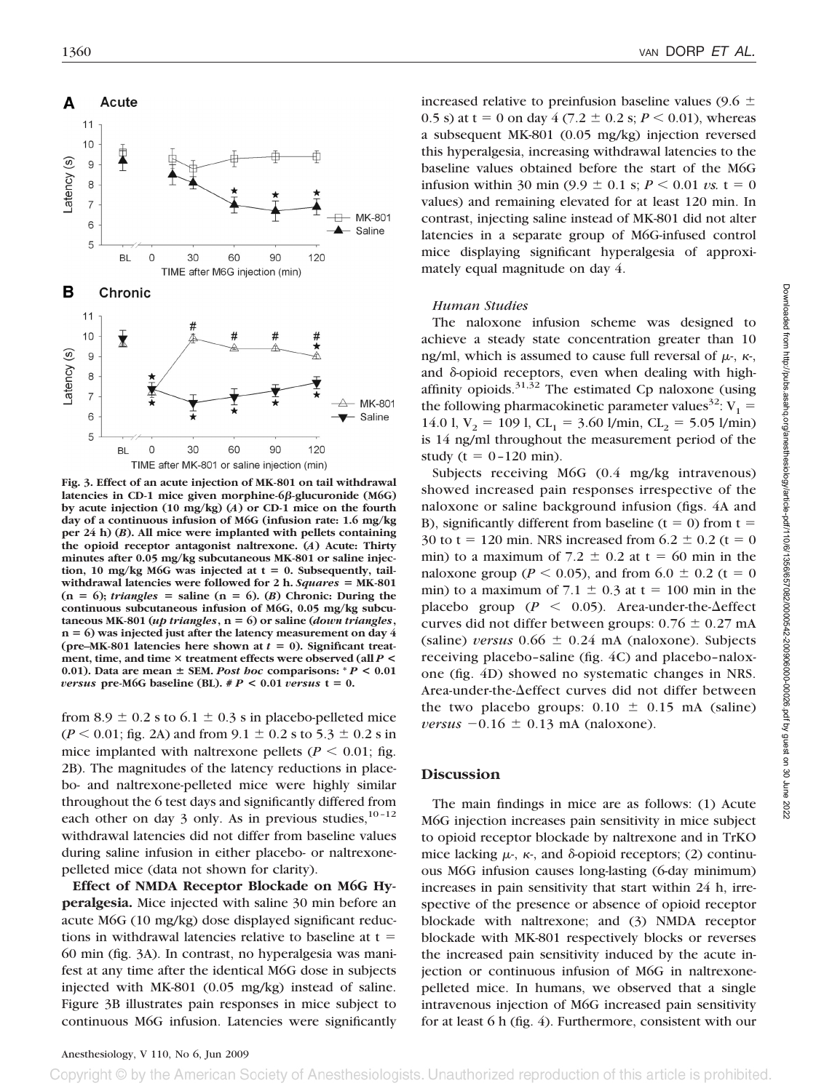

**Fig. 3. Effect of an acute injection of MK-801 on tail withdrawal latencies in CD-1 mice given morphine-6-glucuronide (M6G) by acute injection (10 mg/kg) (***A***) or CD-1 mice on the fourth day of a continuous infusion of M6G (infusion rate: 1.6 mg/kg per 24 h) (***B***). All mice were implanted with pellets containing the opioid receptor antagonist naltrexone. (***A***) Acute: Thirty minutes after 0.05 mg/kg subcutaneous MK-801 or saline injec**tion, 10 mg/kg M6G was injected at  $t = 0$ . Subsequently, tailwithdrawal latencies were followed for 2 h. *Squares* = MK-801  $(n = 6)$ ; *triangles* = saline  $(n = 6)$ . (*B*) Chronic: During the **continuous subcutaneous infusion of M6G, 0.05 mg/kg subcutaneous MK-801 (***up triangles***, n 6) or saline (***down triangles***, n 6) was injected just after the latency measurement on day 4** (pre–MK-801 latencies here shown at  $t = 0$ ). Significant treat**ment, time, and time treatment effects were observed (all** *P* **<** 0.01). Data are mean  $\pm$  SEM. Post hoc comparisons:  $^*P$  < 0.01 *versus* pre-M6G baseline (BL).  $\#P < 0.01$  *versus*  $t = 0$ .

from 8.9  $\pm$  0.2 s to 6.1  $\pm$  0.3 s in placebo-pelleted mice  $(P < 0.01$ ; fig. 2A) and from  $9.1 \pm 0.2$  s to  $5.3 \pm 0.2$  s in mice implanted with naltrexone pellets ( $P \le 0.01$ ; fig. 2B). The magnitudes of the latency reductions in placebo- and naltrexone-pelleted mice were highly similar throughout the 6 test days and significantly differed from each other on day 3 only. As in previous studies,  $10-12$ withdrawal latencies did not differ from baseline values during saline infusion in either placebo- or naltrexonepelleted mice (data not shown for clarity).

**Effect of NMDA Receptor Blockade on M6G Hyperalgesia.** Mice injected with saline 30 min before an acute M6G (10 mg/kg) dose displayed significant reductions in withdrawal latencies relative to baseline at  $t =$ 60 min (fig. 3A). In contrast, no hyperalgesia was manifest at any time after the identical M6G dose in subjects injected with MK-801 (0.05 mg/kg) instead of saline. Figure 3B illustrates pain responses in mice subject to continuous M6G infusion. Latencies were significantly increased relative to preinfusion baseline values (9.6  $\pm$ 0.5 s) at t = 0 on day 4 (7.2  $\pm$  0.2 s; *P* < 0.01), whereas a subsequent MK-801 (0.05 mg/kg) injection reversed this hyperalgesia, increasing withdrawal latencies to the baseline values obtained before the start of the M6G infusion within 30 min  $(9.9 \pm 0.1 \text{ s}; P \le 0.01 \text{ vs. } t = 0$ values) and remaining elevated for at least 120 min. In contrast, injecting saline instead of MK-801 did not alter latencies in a separate group of M6G-infused control mice displaying significant hyperalgesia of approximately equal magnitude on day 4.

#### *Human Studies*

The naloxone infusion scheme was designed to achieve a steady state concentration greater than 10 ng/ml, which is assumed to cause full reversal of  $\mu$ -,  $\kappa$ -, and  $\delta$ -opioid receptors, even when dealing with highaffinity opioids. $31,32$  The estimated Cp naloxone (using the following pharmacokinetic parameter values<sup>32</sup>:  $V_1$  = 14.0 l,  $V_2 = 109$  l,  $CL_1 = 3.60$  l/min,  $CL_2 = 5.05$  l/min) is 14 ng/ml throughout the measurement period of the study ( $t = 0 - 120$  min).

Subjects receiving M6G (0.4 mg/kg intravenous) showed increased pain responses irrespective of the naloxone or saline background infusion (figs. 4A and B), significantly different from baseline  $(t = 0)$  from  $t =$ 30 to  $t = 120$  min. NRS increased from  $6.2 \pm 0.2$  ( $t = 0$ min) to a maximum of  $7.2 \pm 0.2$  at t = 60 min in the naloxone group ( $P < 0.05$ ), and from  $6.0 \pm 0.2$  (t = 0 min) to a maximum of  $7.1 \pm 0.3$  at t = 100 min in the placebo group ( $P \le 0.05$ ). Area-under-the- $\Delta$ effect curves did not differ between groups:  $0.76 \pm 0.27$  mA (saline) *versus*  $0.66 \pm 0.24$  mA (naloxone). Subjects receiving placebo–saline (fig. 4C) and placebo–naloxone (fig. 4D) showed no systematic changes in NRS. Area-under-the- $\Delta$ effect curves did not differ between the two placebo groups:  $0.10 \pm 0.15$  mA (saline) *versus*  $-0.16 \pm 0.13$  mA (naloxone).

### **Discussion**

The main findings in mice are as follows: (1) Acute M6G injection increases pain sensitivity in mice subject to opioid receptor blockade by naltrexone and in TrKO mice lacking  $\mu$ -,  $\kappa$ -, and  $\delta$ -opioid receptors; (2) continuous M6G infusion causes long-lasting (6-day minimum) increases in pain sensitivity that start within 24 h, irrespective of the presence or absence of opioid receptor blockade with naltrexone; and (3) NMDA receptor blockade with MK-801 respectively blocks or reverses the increased pain sensitivity induced by the acute injection or continuous infusion of M6G in naltrexonepelleted mice. In humans, we observed that a single intravenous injection of M6G increased pain sensitivity for at least 6 h (fig. 4). Furthermore, consistent with our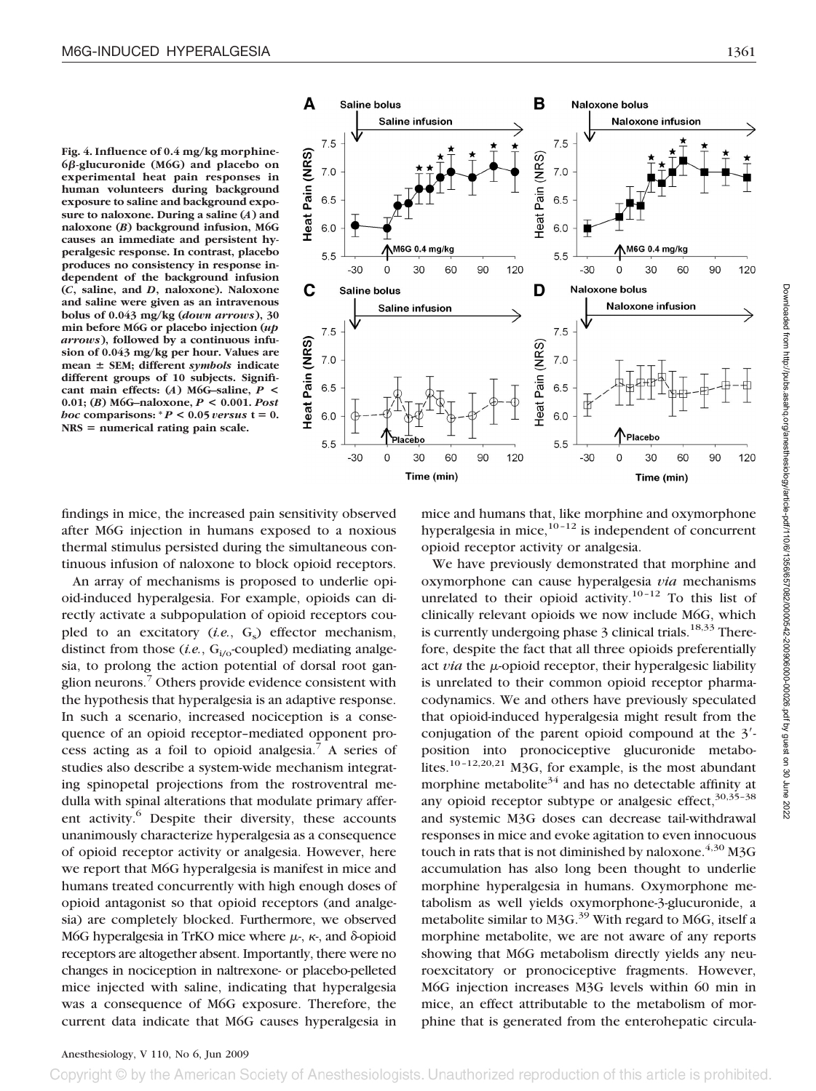**Fig. 4. Influence of 0.4 mg/kg morphine-6-glucuronide (M6G) and placebo on experimental heat pain responses in human volunteers during background exposure to saline and background exposure to naloxone. During a saline (***A***) and naloxone (***B***) background infusion, M6G causes an immediate and persistent hyperalgesic response. In contrast, placebo produces no consistency in response independent of the background infusion (***C***, saline, and** *D***, naloxone). Naloxone and saline were given as an intravenous bolus of 0.043 mg/kg (***down arrows***), 30 min before M6G or placebo injection (***up arrows***), followed by a continuous infusion of 0.043 mg/kg per hour. Values are mean SEM; different** *symbols* **indicate different groups of 10 subjects. Significant main effects: (***A***) M6G–saline,** *P* **< 0.01; (***B***) M6G–naloxone,** *P* **< 0.001.** *Post hoc* comparisons:  $P < 0.05$  *versus*  $t = 0$ . **NRS numerical rating pain scale.**



findings in mice, the increased pain sensitivity observed after M6G injection in humans exposed to a noxious thermal stimulus persisted during the simultaneous continuous infusion of naloxone to block opioid receptors.

An array of mechanisms is proposed to underlie opioid-induced hyperalgesia. For example, opioids can directly activate a subpopulation of opioid receptors coupled to an excitatory (*i.e.*, G<sub>s</sub>) effector mechanism, distinct from those  $(i.e., G<sub>i/o</sub>-coupled)$  mediating analgesia, to prolong the action potential of dorsal root ganglion neurons.7 Others provide evidence consistent with the hypothesis that hyperalgesia is an adaptive response. In such a scenario, increased nociception is a consequence of an opioid receptor–mediated opponent process acting as a foil to opioid analgesia.<sup>7</sup> A series of studies also describe a system-wide mechanism integrating spinopetal projections from the rostroventral medulla with spinal alterations that modulate primary afferent activity.<sup>6</sup> Despite their diversity, these accounts unanimously characterize hyperalgesia as a consequence of opioid receptor activity or analgesia. However, here we report that M6G hyperalgesia is manifest in mice and humans treated concurrently with high enough doses of opioid antagonist so that opioid receptors (and analgesia) are completely blocked. Furthermore, we observed M6G hyperalgesia in TrKO mice where  $\mu$ -,  $\kappa$ -, and  $\delta$ -opioid receptors are altogether absent. Importantly, there were no changes in nociception in naltrexone- or placebo-pelleted mice injected with saline, indicating that hyperalgesia was a consequence of M6G exposure. Therefore, the current data indicate that M6G causes hyperalgesia in

mice and humans that, like morphine and oxymorphone hyperalgesia in mice, $10^{-12}$  is independent of concurrent opioid receptor activity or analgesia.

We have previously demonstrated that morphine and oxymorphone can cause hyperalgesia *via* mechanisms unrelated to their opioid activity.<sup>10-12</sup> To this list of clinically relevant opioids we now include M6G, which is currently undergoing phase 3 clinical trials.<sup>18,33</sup> Therefore, despite the fact that all three opioids preferentially act *via* the  $\mu$ -opioid receptor, their hyperalgesic liability is unrelated to their common opioid receptor pharmacodynamics. We and others have previously speculated that opioid-induced hyperalgesia might result from the conjugation of the parent opioid compound at the  $3'$ position into pronociceptive glucuronide metabolites.<sup>10-12,20,21</sup> M3G, for example, is the most abundant morphine metabolite<sup>34</sup> and has no detectable affinity at any opioid receptor subtype or analgesic effect,  $30,35-38$ and systemic M3G doses can decrease tail-withdrawal responses in mice and evoke agitation to even innocuous touch in rats that is not diminished by naloxone.  $^{4,30}$  M3G accumulation has also long been thought to underlie morphine hyperalgesia in humans. Oxymorphone metabolism as well yields oxymorphone-3-glucuronide, a metabolite similar to M3G.<sup>39</sup> With regard to M6G, itself a morphine metabolite, we are not aware of any reports showing that M6G metabolism directly yields any neuroexcitatory or pronociceptive fragments. However, M6G injection increases M3G levels within 60 min in mice, an effect attributable to the metabolism of morphine that is generated from the enterohepatic circula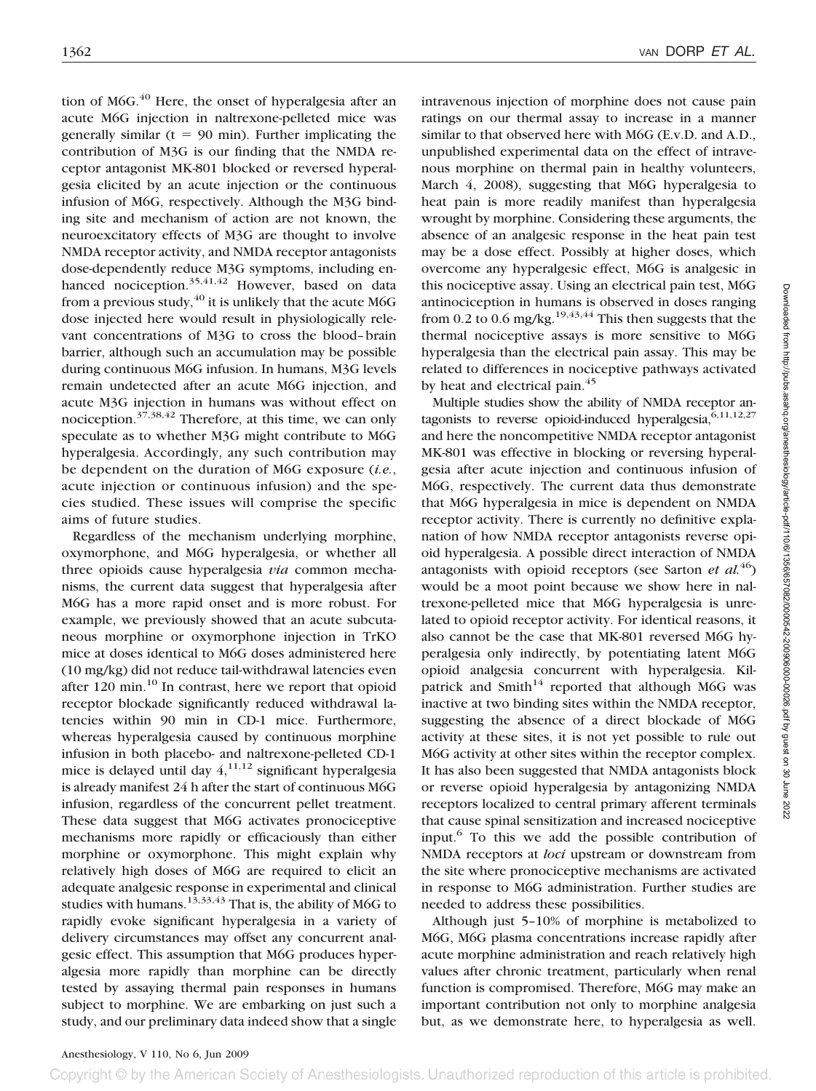tion of M6G. $40$  Here, the onset of hyperalgesia after an acute M6G injection in naltrexone-pelleted mice was generally similar  $(t = 90 \text{ min})$ . Further implicating the contribution of M3G is our finding that the NMDA receptor antagonist MK-801 blocked or reversed hyperalgesia elicited by an acute injection or the continuous infusion of M6G, respectively. Although the M3G binding site and mechanism of action are not known, the neuroexcitatory effects of M3G are thought to involve NMDA receptor activity, and NMDA receptor antagonists dose-dependently reduce M3G symptoms, including enhanced nociception. $35,41,42$  However, based on data from a previous study,  $^{40}$  it is unlikely that the acute M6G dose injected here would result in physiologically relevant concentrations of M3G to cross the blood–brain barrier, although such an accumulation may be possible during continuous M6G infusion. In humans, M3G levels remain undetected after an acute M6G injection, and acute M3G injection in humans was without effect on nociception.37,38,42 Therefore, at this time, we can only speculate as to whether M3G might contribute to M6G hyperalgesia. Accordingly, any such contribution may be dependent on the duration of M6G exposure (*i.e.*, acute injection or continuous infusion) and the species studied. These issues will comprise the specific aims of future studies.

Regardless of the mechanism underlying morphine, oxymorphone, and M6G hyperalgesia, or whether all three opioids cause hyperalgesia *via* common mechanisms, the current data suggest that hyperalgesia after M6G has a more rapid onset and is more robust. For example, we previously showed that an acute subcutaneous morphine or oxymorphone injection in TrKO mice at doses identical to M6G doses administered here (10 mg/kg) did not reduce tail-withdrawal latencies even after  $120 \text{ min.}^{10}$  In contrast, here we report that opioid receptor blockade significantly reduced withdrawal latencies within 90 min in CD-1 mice. Furthermore, whereas hyperalgesia caused by continuous morphine infusion in both placebo- and naltrexone-pelleted CD-1 mice is delayed until day  $4,^{11,12}$  significant hyperalgesia is already manifest 24 h after the start of continuous M6G infusion, regardless of the concurrent pellet treatment. These data suggest that M6G activates pronociceptive mechanisms more rapidly or efficaciously than either morphine or oxymorphone. This might explain why relatively high doses of M6G are required to elicit an adequate analgesic response in experimental and clinical studies with humans.<sup>13,33,43</sup> That is, the ability of M6G to rapidly evoke significant hyperalgesia in a variety of delivery circumstances may offset any concurrent analgesic effect. This assumption that M6G produces hyperalgesia more rapidly than morphine can be directly tested by assaying thermal pain responses in humans subject to morphine. We are embarking on just such a study, and our preliminary data indeed show that a single

intravenous injection of morphine does not cause pain ratings on our thermal assay to increase in a manner similar to that observed here with M6G (E.v.D. and A.D., unpublished experimental data on the effect of intravenous morphine on thermal pain in healthy volunteers, March 4, 2008), suggesting that M6G hyperalgesia to heat pain is more readily manifest than hyperalgesia wrought by morphine. Considering these arguments, the absence of an analgesic response in the heat pain test may be a dose effect. Possibly at higher doses, which overcome any hyperalgesic effect, M6G is analgesic in this nociceptive assay. Using an electrical pain test, M6G antinociception in humans is observed in doses ranging from 0.2 to 0.6 mg/kg.<sup>19,43,44</sup> This then suggests that the thermal nociceptive assays is more sensitive to M6G hyperalgesia than the electrical pain assay. This may be related to differences in nociceptive pathways activated by heat and electrical pain.<sup>45</sup>

Multiple studies show the ability of NMDA receptor antagonists to reverse opioid-induced hyperalgesia,  $6,11,12,27$ and here the noncompetitive NMDA receptor antagonist MK-801 was effective in blocking or reversing hyperalgesia after acute injection and continuous infusion of M6G, respectively. The current data thus demonstrate that M6G hyperalgesia in mice is dependent on NMDA receptor activity. There is currently no definitive explanation of how NMDA receptor antagonists reverse opioid hyperalgesia. A possible direct interaction of NMDA antagonists with opioid receptors (see Sarton *et al.*46) would be a moot point because we show here in naltrexone-pelleted mice that M6G hyperalgesia is unrelated to opioid receptor activity. For identical reasons, it also cannot be the case that MK-801 reversed M6G hyperalgesia only indirectly, by potentiating latent M6G opioid analgesia concurrent with hyperalgesia. Kilpatrick and Smith<sup>14</sup> reported that although M6G was inactive at two binding sites within the NMDA receptor, suggesting the absence of a direct blockade of M6G activity at these sites, it is not yet possible to rule out M6G activity at other sites within the receptor complex. It has also been suggested that NMDA antagonists block or reverse opioid hyperalgesia by antagonizing NMDA receptors localized to central primary afferent terminals that cause spinal sensitization and increased nociceptive input.6 To this we add the possible contribution of NMDA receptors at *loci* upstream or downstream from the site where pronociceptive mechanisms are activated in response to M6G administration. Further studies are needed to address these possibilities.

Although just 5–10% of morphine is metabolized to M6G, M6G plasma concentrations increase rapidly after acute morphine administration and reach relatively high values after chronic treatment, particularly when renal function is compromised. Therefore, M6G may make an important contribution not only to morphine analgesia but, as we demonstrate here, to hyperalgesia as well.